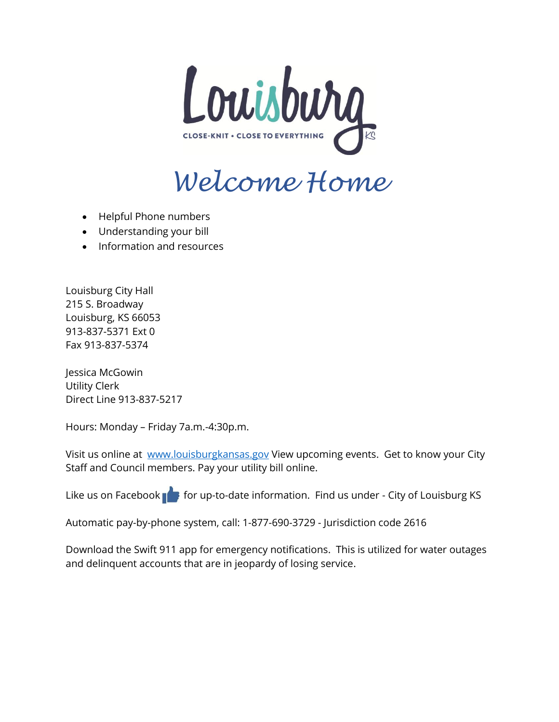

# *Welcome Home*

- Helpful Phone numbers
- Understanding your bill
- Information and resources

Louisburg City Hall 215 S. Broadway Louisburg, KS 66053 913-837-5371 Ext 0 Fax 913-837-5374

Jessica McGowin Utility Clerk Direct Line 913-837-5217

Hours: Monday – Friday 7a.m.-4:30p.m.

Visit us online at [www.louisburgkansas.gov](http://www.louisburgkansas.gov/) View upcoming events. Get to know your City Staff and Council members. Pay your utility bill online.

Like us on Facebook  $\blacksquare$  for up-to-date information. Find us under - City of Louisburg KS

Automatic pay-by-phone system, call: 1-877-690-3729 - Jurisdiction code 2616

Download the Swift 911 app for emergency notifications. This is utilized for water outages and delinquent accounts that are in jeopardy of losing service.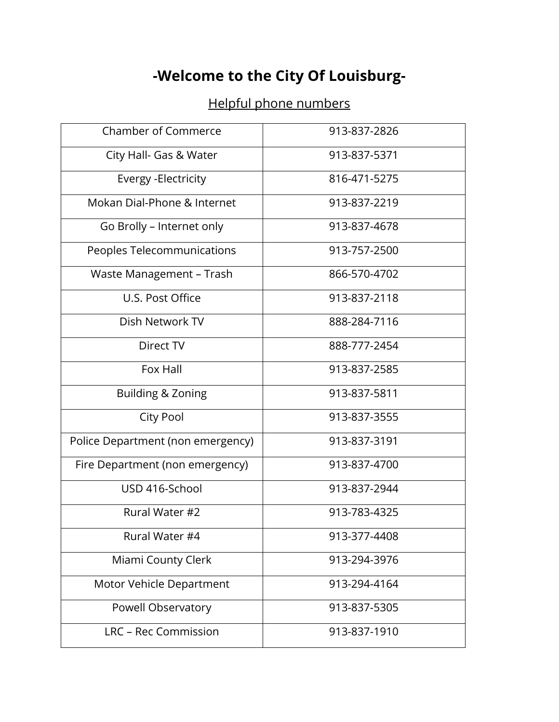## **-Welcome to the City Of Louisburg-**

### Helpful phone numbers

| <b>Chamber of Commerce</b>        | 913-837-2826 |
|-----------------------------------|--------------|
| City Hall- Gas & Water            | 913-837-5371 |
| Evergy - Electricity              | 816-471-5275 |
| Mokan Dial-Phone & Internet       | 913-837-2219 |
| Go Brolly - Internet only         | 913-837-4678 |
| Peoples Telecommunications        | 913-757-2500 |
| Waste Management - Trash          | 866-570-4702 |
| U.S. Post Office                  | 913-837-2118 |
| Dish Network TV                   | 888-284-7116 |
| Direct TV                         | 888-777-2454 |
| Fox Hall                          | 913-837-2585 |
| <b>Building &amp; Zoning</b>      | 913-837-5811 |
| City Pool                         | 913-837-3555 |
| Police Department (non emergency) | 913-837-3191 |
| Fire Department (non emergency)   | 913-837-4700 |
| USD 416-School                    | 913-837-2944 |
| Rural Water #2                    | 913-783-4325 |
| Rural Water #4                    | 913-377-4408 |
| Miami County Clerk                | 913-294-3976 |
| Motor Vehicle Department          | 913-294-4164 |
| Powell Observatory                | 913-837-5305 |
| LRC - Rec Commission              | 913-837-1910 |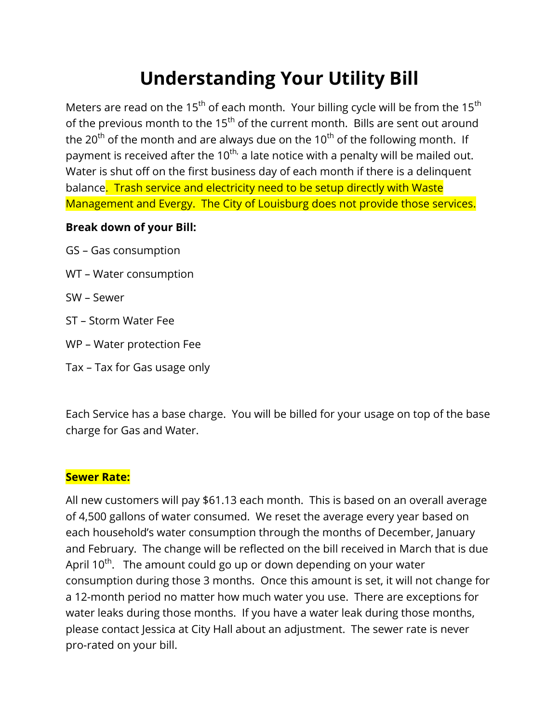## **Understanding Your Utility Bill**

Meters are read on the 15<sup>th</sup> of each month. Your billing cycle will be from the 15<sup>th</sup> of the previous month to the  $15<sup>th</sup>$  of the current month. Bills are sent out around the 20<sup>th</sup> of the month and are always due on the 10<sup>th</sup> of the following month. If payment is received after the 10<sup>th,</sup> a late notice with a penalty will be mailed out. Water is shut off on the first business day of each month if there is a delinquent balance. Trash service and electricity need to be setup directly with Waste Management and Evergy. The City of Louisburg does not provide those services.

#### **Break down of your Bill:**

- GS Gas consumption
- WT Water consumption
- SW Sewer
- ST Storm Water Fee
- WP Water protection Fee
- Tax Tax for Gas usage only

Each Service has a base charge. You will be billed for your usage on top of the base charge for Gas and Water.

#### **Sewer Rate:**

All new customers will pay \$61.13 each month. This is based on an overall average of 4,500 gallons of water consumed. We reset the average every year based on each household's water consumption through the months of December, January and February. The change will be reflected on the bill received in March that is due April  $10^{th}$ . The amount could go up or down depending on your water consumption during those 3 months. Once this amount is set, it will not change for a 12-month period no matter how much water you use. There are exceptions for water leaks during those months. If you have a water leak during those months, please contact Jessica at City Hall about an adjustment. The sewer rate is never pro-rated on your bill.